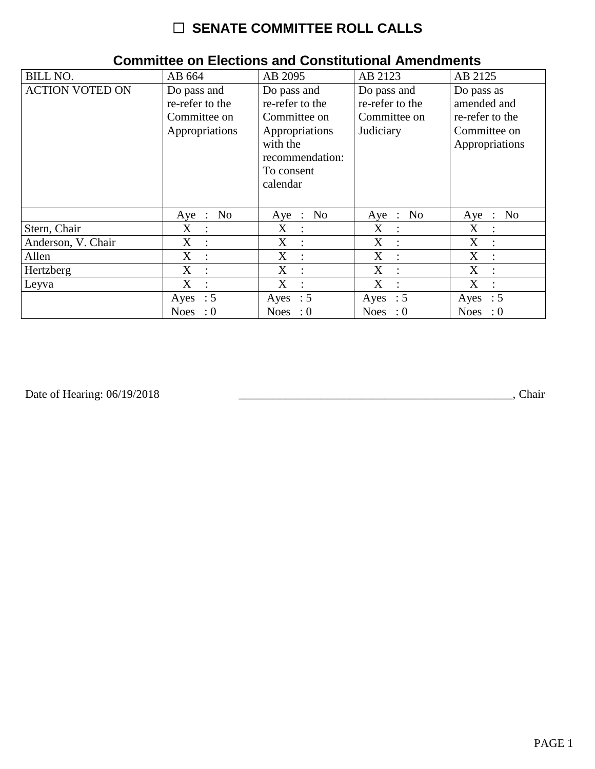| <b>BILL NO.</b>        | AB 664                                                           | AB 2095                                                                                                                   | AB 2123                                                     | AB 2125                                                                        |
|------------------------|------------------------------------------------------------------|---------------------------------------------------------------------------------------------------------------------------|-------------------------------------------------------------|--------------------------------------------------------------------------------|
| <b>ACTION VOTED ON</b> | Do pass and<br>re-refer to the<br>Committee on<br>Appropriations | Do pass and<br>re-refer to the<br>Committee on<br>Appropriations<br>with the<br>recommendation:<br>To consent<br>calendar | Do pass and<br>re-refer to the<br>Committee on<br>Judiciary | Do pass as<br>amended and<br>re-refer to the<br>Committee on<br>Appropriations |
|                        | No<br>$Aye$ :                                                    | Aye : No                                                                                                                  | Aye : No                                                    | No<br>Aye<br>$\mathbb{R}^2$                                                    |
| Stern, Chair           | $X_{\mathcal{E}}$<br>$\ddot{\phantom{a}}$                        | $X_{\mathcal{L}}$<br>$\ddot{\cdot}$                                                                                       | X<br>$\sim$ 1 $\sim$                                        | X<br>$\ddot{\cdot}$                                                            |
| Anderson, V. Chair     | X<br>$\cdot$ :                                                   | X<br>$\ddot{\cdot}$                                                                                                       | X<br>$\mathbb{R}^n$                                         | X<br>$\ddot{\phantom{a}}$                                                      |
| Allen                  | X<br>$\ddot{\cdot}$                                              | X<br>$\ddot{\cdot}$                                                                                                       | X<br>$\cdot$ :                                              | X<br>$\ddot{\cdot}$                                                            |
| Hertzberg              | X<br>$\ddot{\cdot}$                                              | X<br>$\ddot{\cdot}$                                                                                                       | X<br>$\cdot$ :                                              | X<br>$\ddot{\cdot}$                                                            |
| Leyva                  | X<br>$\ddot{\cdot}$                                              | X<br>$\ddot{\cdot}$                                                                                                       | X                                                           | X<br>$\ddot{\cdot}$                                                            |
|                        | Ayes : $5$                                                       | Ayes : $5$                                                                                                                | Ayes : $5$                                                  | Ayes : $5$                                                                     |
|                        | <b>Noes</b><br>$\colon 0$                                        | Noes : $0$                                                                                                                | Noes : $0$                                                  | <b>Noes</b><br>$\cdot 0$                                                       |

## **Committee on Elections and Constitutional Amendments**

Date of Hearing: 06/19/2018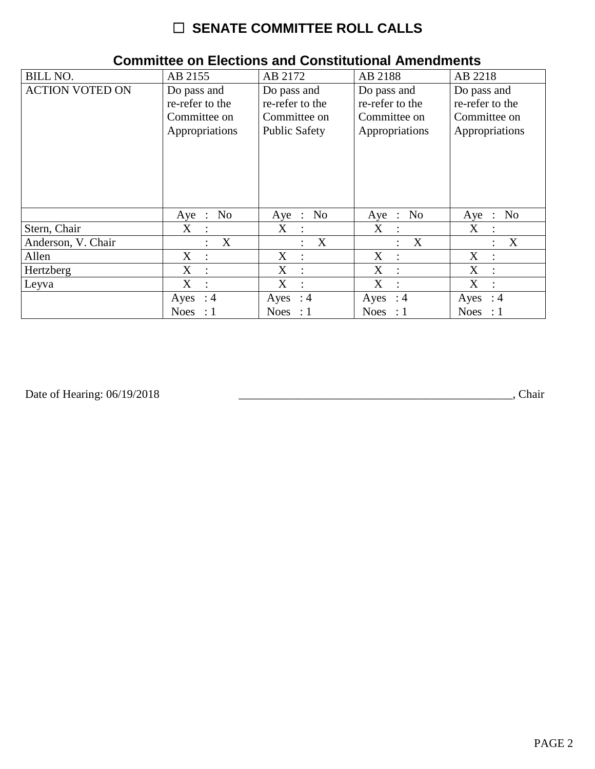| <b>BILL NO.</b>        | AB 2155                       | AB 2172                 | AB 2188              | AB 2218                                       |
|------------------------|-------------------------------|-------------------------|----------------------|-----------------------------------------------|
| <b>ACTION VOTED ON</b> | Do pass and                   | Do pass and             | Do pass and          | Do pass and                                   |
|                        | re-refer to the               | re-refer to the         | re-refer to the      | re-refer to the                               |
|                        | Committee on                  | Committee on            | Committee on         | Committee on                                  |
|                        | Appropriations                | Public Safety           | Appropriations       | Appropriations                                |
|                        | No<br>$Aye$ :                 | N <sub>o</sub><br>Aye : | Aye : No             | N <sub>0</sub><br>Aye<br>$\ddot{\phantom{1}}$ |
| Stern, Chair           | X<br>$\ddot{\cdot}$           | X<br>$\ddot{\cdot}$     | X                    | X<br>$\ddot{\cdot}$                           |
| Anderson, V. Chair     | X                             | X                       | $\boldsymbol{X}$     | X                                             |
|                        | $\ddot{\cdot}$                | ÷                       | $\ddot{\phantom{a}}$ | $\ddot{\cdot}$                                |
| Allen                  | X                             | X                       | X                    | X                                             |
|                        | $\ddot{\cdot}$                | $\ddot{\cdot}$          | $\cdot$ :            | $\ddot{\cdot}$                                |
| Hertzberg              | X                             | X                       | X                    | X                                             |
|                        | $\ddot{\phantom{a}}$          | $\ddot{\phantom{a}}$    | $\cdot$              | $\ddot{\cdot}$                                |
| Leyva                  | X                             | X                       | X                    | X                                             |
|                        | $\ddot{\cdot}$                | $\ddot{\cdot}$          | $\ddot{\phantom{a}}$ | $\ddot{\cdot}$                                |
|                        | Ayes : $4$                    | Ayes : $4$              | Ayes : $4$           | Ayes<br>: 4                                   |
|                        | <b>Noes</b><br>$\therefore$ 1 | Noes : $1$              | Noes : $1$           | <b>Noes</b><br>$\therefore$ 1                 |

## **Committee on Elections and Constitutional Amendments**

Date of Hearing: 06/19/2018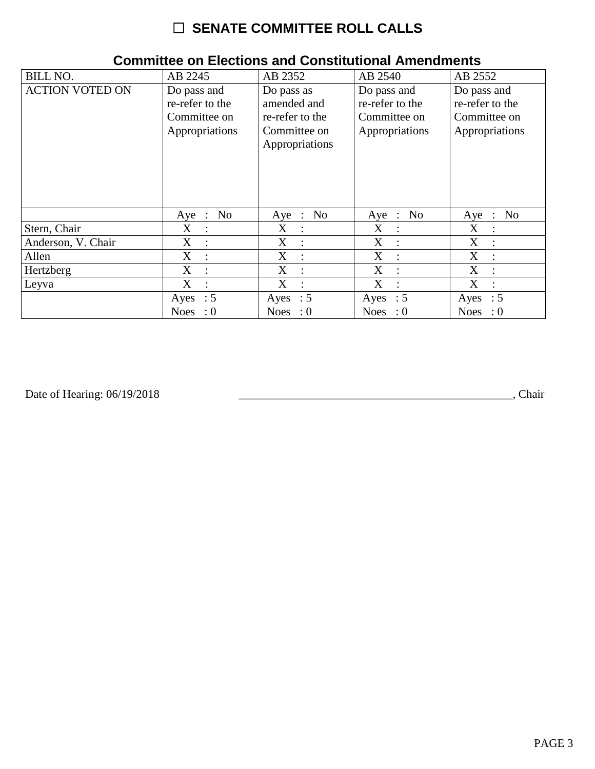| <b>BILL NO.</b>        | AB 2245                                                          | AB 2352                                                                        | AB 2540                                                          | AB 2552                                                          |
|------------------------|------------------------------------------------------------------|--------------------------------------------------------------------------------|------------------------------------------------------------------|------------------------------------------------------------------|
| <b>ACTION VOTED ON</b> | Do pass and<br>re-refer to the<br>Committee on<br>Appropriations | Do pass as<br>amended and<br>re-refer to the<br>Committee on<br>Appropriations | Do pass and<br>re-refer to the<br>Committee on<br>Appropriations | Do pass and<br>re-refer to the<br>Committee on<br>Appropriations |
|                        | N <sub>0</sub><br>$Aye$ :                                        | Aye : No                                                                       | Aye : No                                                         | No<br>Aye<br>$\cdot$ :                                           |
| Stern, Chair           | $X_{\mathcal{E}}$                                                | $X_{\mathcal{L}}$                                                              | X                                                                | X                                                                |
|                        | $\therefore$                                                     | $\ddot{\cdot}$                                                                 | $\sim$ 10 $\sim$                                                 | $\ddot{\phantom{a}}$                                             |
| Anderson, V. Chair     | X                                                                | X                                                                              | X                                                                | X                                                                |
|                        | $\ddot{\phantom{a}}$                                             | ÷                                                                              | $\cdot$ :                                                        | $\ddot{\phantom{a}}$                                             |
| Allen                  | X                                                                | X                                                                              | X                                                                | $\boldsymbol{X}$                                                 |
|                        | $\ddot{\cdot}$                                                   | $\ddot{\cdot}$                                                                 | $\cdot$                                                          | $\ddot{\cdot}$                                                   |
| Hertzberg              | X                                                                | X                                                                              | X                                                                | X                                                                |
|                        | $\ddot{\phantom{a}}$                                             | $\ddot{\phantom{a}}$                                                           | ÷                                                                | $\ddot{\cdot}$                                                   |
| Leyva                  | X                                                                | X                                                                              | X                                                                | X                                                                |
|                        | $\ddot{\cdot}$                                                   | $\ddot{\cdot}$                                                                 | $\ddot{\phantom{a}}$                                             | $\ddot{\cdot}$                                                   |
|                        | Ayes : $5$                                                       | Ayes : $5$                                                                     | Ayes : $5$                                                       | Ayes : $5$                                                       |
|                        | <b>Noes</b><br>$\cdot 0$                                         | Noes : $0$                                                                     | Noes : $0$                                                       | <b>Noes</b><br>$\cdot 0$                                         |

## **Committee on Elections and Constitutional Amendments**

Date of Hearing: 06/19/2018